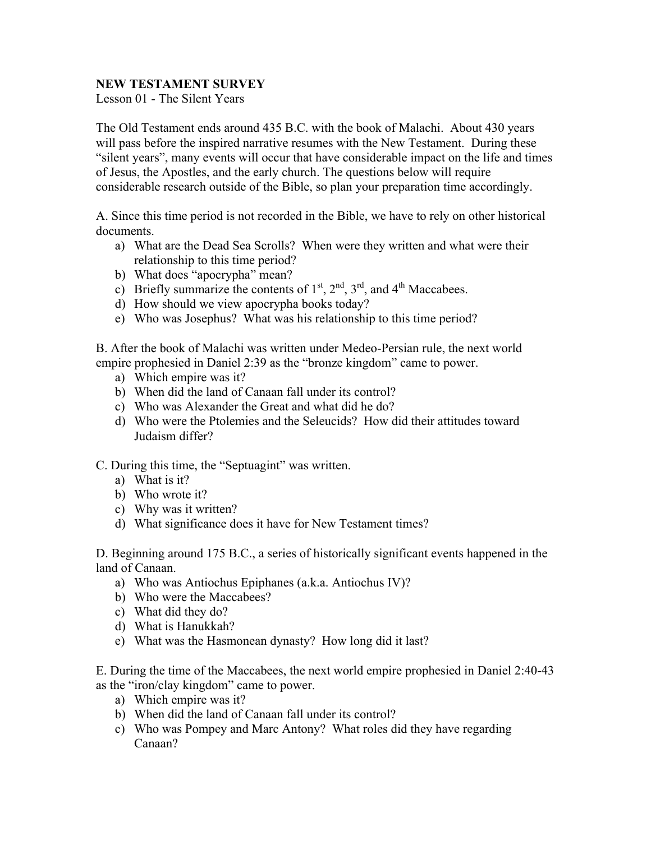## **NEW TESTAMENT SURVEY**

Lesson 01 - The Silent Years

The Old Testament ends around 435 B.C. with the book of Malachi. About 430 years will pass before the inspired narrative resumes with the New Testament. During these "silent years", many events will occur that have considerable impact on the life and times of Jesus, the Apostles, and the early church. The questions below will require considerable research outside of the Bible, so plan your preparation time accordingly.

A. Since this time period is not recorded in the Bible, we have to rely on other historical documents.

- a) What are the Dead Sea Scrolls? When were they written and what were their relationship to this time period?
- b) What does "apocrypha" mean?
- c) Briefly summarize the contents of  $1<sup>st</sup>$ ,  $2<sup>nd</sup>$ ,  $3<sup>rd</sup>$ , and  $4<sup>th</sup>$  Maccabees.
- d) How should we view apocrypha books today?
- e) Who was Josephus? What was his relationship to this time period?

B. After the book of Malachi was written under Medeo-Persian rule, the next world empire prophesied in Daniel 2:39 as the "bronze kingdom" came to power.

- a) Which empire was it?
- b) When did the land of Canaan fall under its control?
- c) Who was Alexander the Great and what did he do?
- d) Who were the Ptolemies and the Seleucids? How did their attitudes toward Judaism differ?

C. During this time, the "Septuagint" was written.

- a) What is it?
- b) Who wrote it?
- c) Why was it written?
- d) What significance does it have for New Testament times?

D. Beginning around 175 B.C., a series of historically significant events happened in the land of Canaan.

- a) Who was Antiochus Epiphanes (a.k.a. Antiochus IV)?
- b) Who were the Maccabees?
- c) What did they do?
- d) What is Hanukkah?
- e) What was the Hasmonean dynasty? How long did it last?

E. During the time of the Maccabees, the next world empire prophesied in Daniel 2:40-43 as the "iron/clay kingdom" came to power.

- a) Which empire was it?
- b) When did the land of Canaan fall under its control?
- c) Who was Pompey and Marc Antony? What roles did they have regarding Canaan?